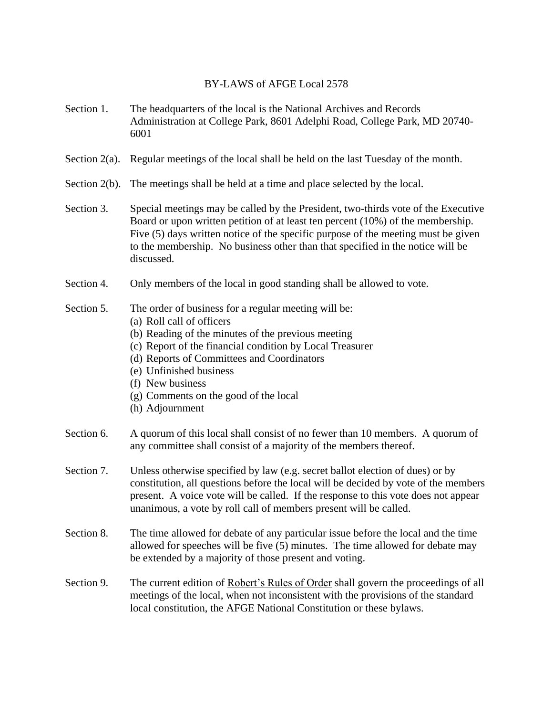## BY-LAWS of AFGE Local 2578

- Section 1. The headquarters of the local is the National Archives and Records Administration at College Park, 8601 Adelphi Road, College Park, MD 20740- 6001
- Section 2(a). Regular meetings of the local shall be held on the last Tuesday of the month.
- Section 2(b). The meetings shall be held at a time and place selected by the local.
- Section 3. Special meetings may be called by the President, two-thirds vote of the Executive Board or upon written petition of at least ten percent (10%) of the membership. Five (5) days written notice of the specific purpose of the meeting must be given to the membership. No business other than that specified in the notice will be discussed.
- Section 4. Only members of the local in good standing shall be allowed to vote.

## Section 5. The order of business for a regular meeting will be:

- (a) Roll call of officers
- (b) Reading of the minutes of the previous meeting
- (c) Report of the financial condition by Local Treasurer
- (d) Reports of Committees and Coordinators
- (e) Unfinished business
- (f) New business
- (g) Comments on the good of the local
- (h) Adjournment
- Section 6. A quorum of this local shall consist of no fewer than 10 members. A quorum of any committee shall consist of a majority of the members thereof.
- Section 7. Unless otherwise specified by law (e.g. secret ballot election of dues) or by constitution, all questions before the local will be decided by vote of the members present. A voice vote will be called. If the response to this vote does not appear unanimous, a vote by roll call of members present will be called.
- Section 8. The time allowed for debate of any particular issue before the local and the time allowed for speeches will be five (5) minutes. The time allowed for debate may be extended by a majority of those present and voting.
- Section 9. The current edition of Robert's Rules of Order shall govern the proceedings of all meetings of the local, when not inconsistent with the provisions of the standard local constitution, the AFGE National Constitution or these bylaws.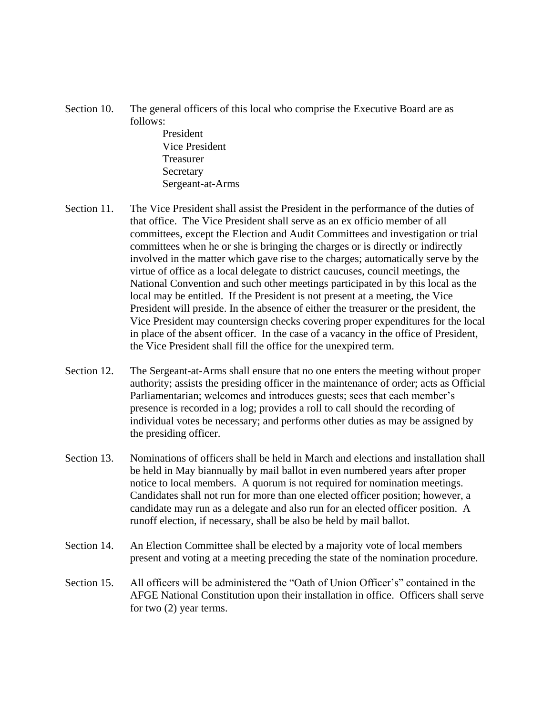- Section 10. The general officers of this local who comprise the Executive Board are as follows:
	- President Vice President Treasurer Secretary Sergeant-at-Arms
- Section 11. The Vice President shall assist the President in the performance of the duties of that office. The Vice President shall serve as an ex officio member of all committees, except the Election and Audit Committees and investigation or trial committees when he or she is bringing the charges or is directly or indirectly involved in the matter which gave rise to the charges; automatically serve by the virtue of office as a local delegate to district caucuses, council meetings, the National Convention and such other meetings participated in by this local as the local may be entitled. If the President is not present at a meeting, the Vice President will preside. In the absence of either the treasurer or the president, the Vice President may countersign checks covering proper expenditures for the local in place of the absent officer. In the case of a vacancy in the office of President, the Vice President shall fill the office for the unexpired term.
- Section 12. The Sergeant-at-Arms shall ensure that no one enters the meeting without proper authority; assists the presiding officer in the maintenance of order; acts as Official Parliamentarian; welcomes and introduces guests; sees that each member's presence is recorded in a log; provides a roll to call should the recording of individual votes be necessary; and performs other duties as may be assigned by the presiding officer.
- Section 13. Nominations of officers shall be held in March and elections and installation shall be held in May biannually by mail ballot in even numbered years after proper notice to local members. A quorum is not required for nomination meetings. Candidates shall not run for more than one elected officer position; however, a candidate may run as a delegate and also run for an elected officer position. A runoff election, if necessary, shall be also be held by mail ballot.
- Section 14. An Election Committee shall be elected by a majority vote of local members present and voting at a meeting preceding the state of the nomination procedure.
- Section 15. All officers will be administered the "Oath of Union Officer's" contained in the AFGE National Constitution upon their installation in office. Officers shall serve for two (2) year terms.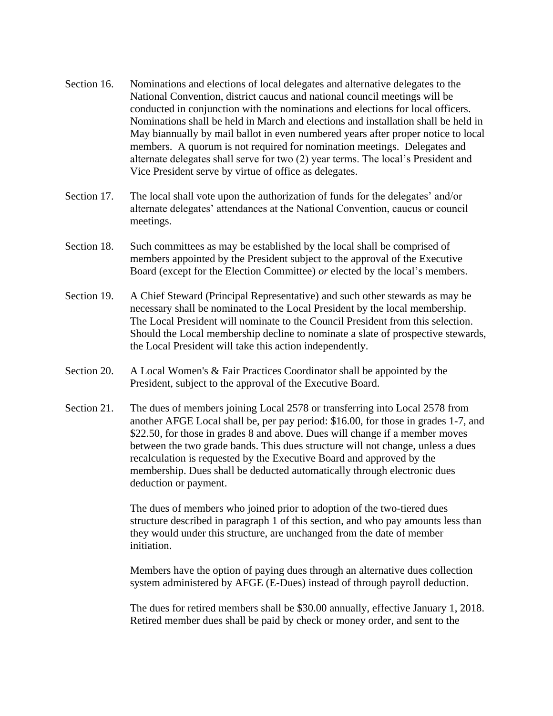- Section 16. Nominations and elections of local delegates and alternative delegates to the National Convention, district caucus and national council meetings will be conducted in conjunction with the nominations and elections for local officers. Nominations shall be held in March and elections and installation shall be held in May biannually by mail ballot in even numbered years after proper notice to local members. A quorum is not required for nomination meetings. Delegates and alternate delegates shall serve for two (2) year terms. The local's President and Vice President serve by virtue of office as delegates.
- Section 17. The local shall vote upon the authorization of funds for the delegates' and/or alternate delegates' attendances at the National Convention, caucus or council meetings.
- Section 18. Such committees as may be established by the local shall be comprised of members appointed by the President subject to the approval of the Executive Board (except for the Election Committee) *or* elected by the local's members.
- Section 19. A Chief Steward (Principal Representative) and such other stewards as may be necessary shall be nominated to the Local President by the local membership. The Local President will nominate to the Council President from this selection. Should the Local membership decline to nominate a slate of prospective stewards, the Local President will take this action independently.
- Section 20. A Local Women's & Fair Practices Coordinator shall be appointed by the President, subject to the approval of the Executive Board.
- Section 21. The dues of members joining Local 2578 or transferring into Local 2578 from another AFGE Local shall be, per pay period: \$16.00, for those in grades 1-7, and \$22.50, for those in grades 8 and above. Dues will change if a member moves between the two grade bands. This dues structure will not change, unless a dues recalculation is requested by the Executive Board and approved by the membership. Dues shall be deducted automatically through electronic dues deduction or payment.

The dues of members who joined prior to adoption of the two-tiered dues structure described in paragraph 1 of this section, and who pay amounts less than they would under this structure, are unchanged from the date of member initiation.

Members have the option of paying dues through an alternative dues collection system administered by AFGE (E-Dues) instead of through payroll deduction.

The dues for retired members shall be \$30.00 annually, effective January 1, 2018. Retired member dues shall be paid by check or money order, and sent to the